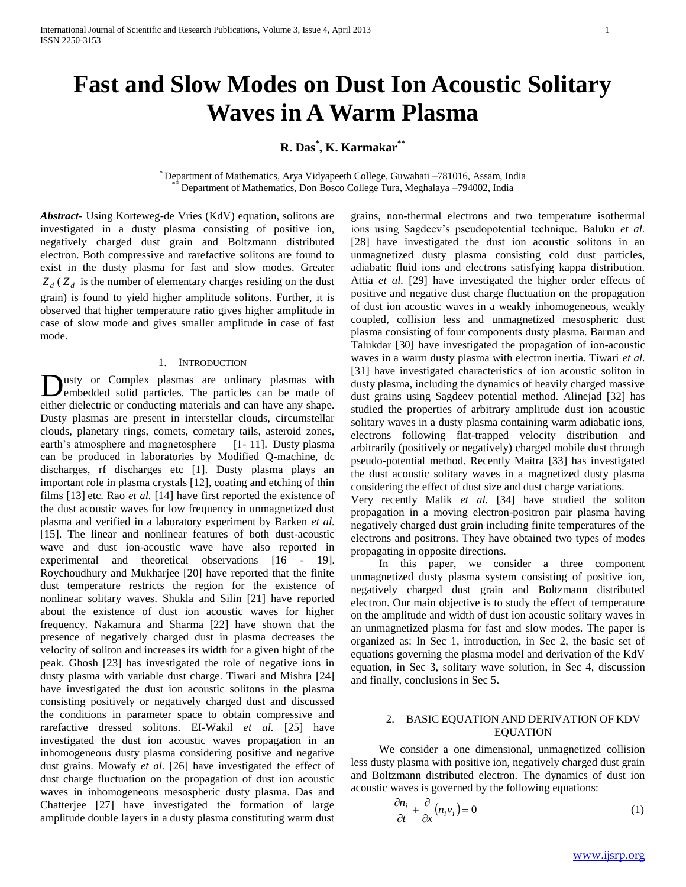# **Fast and Slow Modes on Dust Ion Acoustic Solitary Waves in A Warm Plasma**

# **R. Das\* , K. Karmakar\*\***

\* Department of Mathematics, Arya Vidyapeeth College, Guwahati –781016, Assam, India Department of Mathematics, Don Bosco College Tura, Meghalaya -794002, India

*Abstract***-** Using Korteweg-de Vries (KdV) equation, solitons are investigated in a dusty plasma consisting of positive ion, negatively charged dust grain and Boltzmann distributed electron. Both compressive and rarefactive solitons are found to exist in the dusty plasma for fast and slow modes. Greater  $Z_d$  ( $Z_d$ ) is the number of elementary charges residing on the dust grain) is found to yield higher amplitude solitons. Further, it is observed that higher temperature ratio gives higher amplitude in case of slow mode and gives smaller amplitude in case of fast mode.

### 1. INTRODUCTION

usty or Complex plasmas are ordinary plasmas with embedded solid particles. The particles can be made of **D**usty or Complex plasmas are ordinary plasmas with embedded solid particles. The particles can be made of either dielectric or conducting materials and can have any shape. Dusty plasmas are present in interstellar clouds, circumstellar clouds, planetary rings, comets, cometary tails, asteroid zones, earth's atmosphere and magnetosphere [1-11]. Dusty plasma can be produced in laboratories by Modified Q-machine, dc discharges, rf discharges etc [1]. Dusty plasma plays an important role in plasma crystals [12], coating and etching of thin films [13] etc. Rao *et al.* [14] have first reported the existence of the dust acoustic waves for low frequency in unmagnetized dust plasma and verified in a laboratory experiment by Barken *et al.* [15]. The linear and nonlinear features of both dust-acoustic wave and dust ion-acoustic wave have also reported in experimental and theoretical observations [16 - 19]. Roychoudhury and Mukharjee [20] have reported that the finite dust temperature restricts the region for the existence of nonlinear solitary waves. Shukla and Silin [21] have reported about the existence of dust ion acoustic waves for higher frequency. Nakamura and Sharma [22] have shown that the presence of negatively charged dust in plasma decreases the velocity of soliton and increases its width for a given hight of the peak. Ghosh [23] has investigated the role of negative ions in dusty plasma with variable dust charge. Tiwari and Mishra [24] have investigated the dust ion acoustic solitons in the plasma consisting positively or negatively charged dust and discussed the conditions in parameter space to obtain compressive and rarefactive dressed solitons. EI-Wakil *et al.* [25] have investigated the dust ion acoustic waves propagation in an inhomogeneous dusty plasma considering positive and negative dust grains. Mowafy *et al.* [26] have investigated the effect of dust charge fluctuation on the propagation of dust ion acoustic waves in inhomogeneous mesospheric dusty plasma. Das and Chatterjee [27] have investigated the formation of large amplitude double layers in a dusty plasma constituting warm dust

grains, non-thermal electrons and two temperature isothermal ions using Sagdeev's pseudopotential technique. Baluku *et al.* [28] have investigated the dust ion acoustic solitons in an unmagnetized dusty plasma consisting cold dust particles, adiabatic fluid ions and electrons satisfying kappa distribution. Attia *et al.* [29] have investigated the higher order effects of positive and negative dust charge fluctuation on the propagation of dust ion acoustic waves in a weakly inhomogeneous, weakly coupled, collision less and unmagnetized mesospheric dust plasma consisting of four components dusty plasma. Barman and Talukdar [30] have investigated the propagation of ion-acoustic waves in a warm dusty plasma with electron inertia. Tiwari *et al.* [31] have investigated characteristics of ion acoustic soliton in dusty plasma, including the dynamics of heavily charged massive dust grains using Sagdeev potential method. Alinejad [32] has studied the properties of arbitrary amplitude dust ion acoustic solitary waves in a dusty plasma containing warm adiabatic ions, electrons following flat-trapped velocity distribution and arbitrarily (positively or negatively) charged mobile dust through pseudo-potential method. Recently Maitra [33] has investigated the dust acoustic solitary waves in a magnetized dusty plasma considering the effect of dust size and dust charge variations.

Very recently Malik *et al.* [34] have studied the soliton propagation in a moving electron-positron pair plasma having negatively charged dust grain including finite temperatures of the electrons and positrons. They have obtained two types of modes propagating in opposite directions.

 In this paper, we consider a three component unmagnetized dusty plasma system consisting of positive ion, negatively charged dust grain and Boltzmann distributed electron. Our main objective is to study the effect of temperature on the amplitude and width of dust ion acoustic solitary waves in an unmagnetized plasma for fast and slow modes. The paper is organized as: In Sec 1, introduction, in Sec 2, the basic set of equations governing the plasma model and derivation of the KdV equation, in Sec 3, solitary wave solution, in Sec 4, discussion and finally, conclusions in Sec 5.

## 2. BASIC EQUATION AND DERIVATION OF KDV EQUATION

 We consider a one dimensional, unmagnetized collision less dusty plasma with positive ion, negatively charged dust grain and Boltzmann distributed electron. The dynamics of dust ion acoustic waves is governed by the following equations:

$$
\frac{\partial n_i}{\partial t} + \frac{\partial}{\partial x} (n_i v_i) = 0 \tag{1}
$$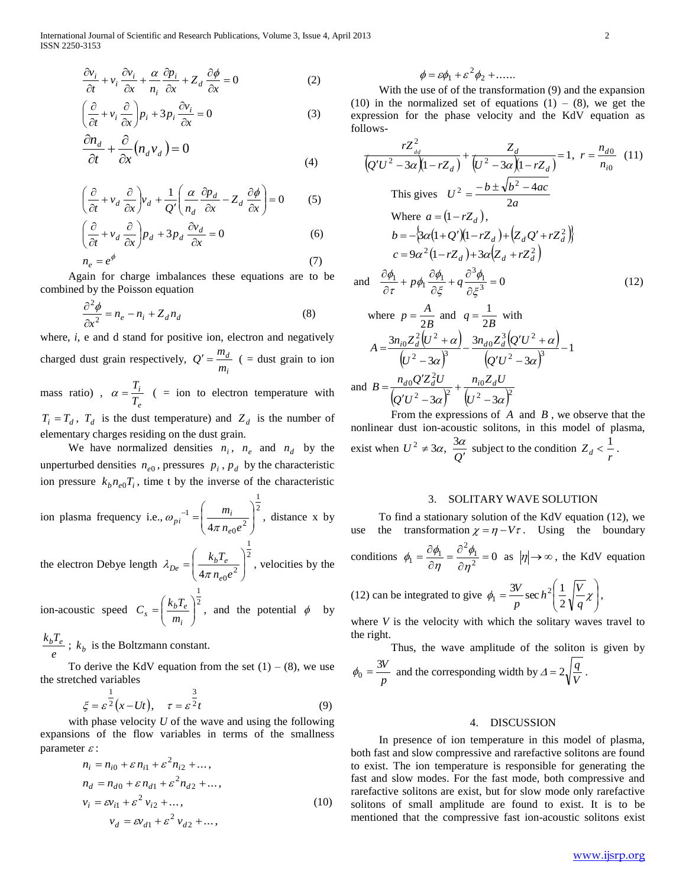$$
\frac{\partial v_i}{\partial t} + v_i \frac{\partial v_i}{\partial x} + \frac{\alpha}{n_i} \frac{\partial p_i}{\partial x} + Z_d \frac{\partial \phi}{\partial x} = 0
$$
 (2)

$$
\left(\frac{\partial}{\partial t} + v_i \frac{\partial}{\partial x}\right) p_i + 3 p_i \frac{\partial v_i}{\partial x} = 0
$$
\n(3)

$$
\frac{\partial n_d}{\partial t} + \frac{\partial}{\partial x} (n_d v_d) = 0
$$
\n(4)

$$
\left(\frac{\partial}{\partial t} + v_d \frac{\partial}{\partial x}\right) v_d + \frac{1}{Q'} \left(\frac{\alpha}{n_d} \frac{\partial p_d}{\partial x} - Z_d \frac{\partial \phi}{\partial x}\right) = 0 \tag{5}
$$

$$
\left(\frac{\partial}{\partial t} + v_d \frac{\partial}{\partial x}\right) p_d + 3p_d \frac{\partial v_d}{\partial x} = 0
$$
\n(6)

$$
n_e = e^{\phi} \tag{7}
$$

 Again for charge imbalances these equations are to be combined by the Poisson equation

$$
\frac{\partial^2 \phi}{\partial x^2} = n_e - n_i + Z_d n_d \tag{8}
$$

where, *i*, e and d stand for positive ion, electron and negatively charged dust grain respectively, *i d m*  $Q' = \frac{m_d}{m}$  ( = dust grain to ion mass ratio) , *i*  $\alpha = \frac{T_i}{T_i}$  ( = ion to electron temperature with

*e T*  $T_i = T_d$ ,  $T_d$  is the dust temperature) and  $Z_d$  is the number of elementary charges residing on the dust grain.

We have normalized densities  $n_i$ ,  $n_e$  and  $n_d$  by the unperturbed densities  $n_{e0}$ , pressures  $p_i$ ,  $p_d$  by the characteristic ion pressure  $k_b n_{e0} T_i$ , time t by the inverse of the characteristic

ion plasma frequency i.e., 
$$
\omega_{pi}^{-1} = \left(\frac{m_i}{4\pi n_{e0}e^2}\right)^{\frac{1}{2}}
$$
, distance x by

the electron Debye length  $\lambda_{De} = \left(\frac{k_b T_e}{r_c}\right)^2$  $\frac{\kappa_b I_e}{4\pi n_{e0}e^2}$ J Ì  $\overline{\phantom{a}}$  $\backslash$ ſ  $=$  $n_{e0}e$  $k<sub>b</sub>$ *T e*  $p_e = \frac{\kappa_b I_e}{4\pi n_{eq}}$  $\lambda_{De} = \frac{\lambda_{b}I_{e}}{2}$ , velocities by the

ion-acoustic speed  $C_s = \left(\frac{k_b T_e}{r_c}\right)^2$ 1  $\vert$ J  $\backslash$  $\overline{\phantom{a}}$  $\backslash$  $=\bigg($ *i*  $b_s = \frac{\kappa_b I_e}{m_i}$  $C_s = \left(\frac{k_b T_e}{r}\right)^2$ , and the potential  $\phi$  by

*e*  $\frac{k_b T_e}{r}$ ;  $k_b$  is the Boltzmann constant.

To derive the KdV equation from the set  $(1) - (8)$ , we use the stretched variables

$$
\xi = \varepsilon^{\frac{1}{2}} (x - Ut), \quad \tau = \varepsilon^{\frac{3}{2}} t \tag{9}
$$

 with phase velocity *U* of the wave and using the following expansions of the flow variables in terms of the smallness parameter  $\varepsilon$ :

$$
n_{i} = n_{i0} + \varepsilon n_{i1} + \varepsilon^{2} n_{i2} + \dots,
$$
  
\n
$$
n_{d} = n_{d0} + \varepsilon n_{d1} + \varepsilon^{2} n_{d2} + \dots,
$$
  
\n
$$
v_{i} = \varepsilon v_{i1} + \varepsilon^{2} v_{i2} + \dots,
$$
  
\n
$$
v_{d} = \varepsilon v_{d1} + \varepsilon^{2} v_{d2} + \dots,
$$
\n(10)

$$
\phi = \varepsilon \phi_1 + \varepsilon^2 \phi_2 + \dots
$$

 With the use of of the transformation (9) and the expansion (10) in the normalized set of equations (1) – (8), we get the expression for the phase velocity and the KdV equation as follows-

$$
\frac{rZ_{dd}^2}{(Q'U^2 - 3\alpha)(1 - rZ_d)} + \frac{Z_d}{(U^2 - 3\alpha)(1 - rZ_d)} = 1, \ r = \frac{n_{d0}}{n_{i0}} \quad (11)
$$
\nThis gives

\n
$$
U^2 = \frac{-b \pm \sqrt{b^2 - 4ac}}{2a}
$$
\nWhere

\n
$$
a = (1 - rZ_d),
$$
\n
$$
b = -\left\{\frac{3\alpha(1 + Q')(1 - rZ_d) + \left(Z_d Q' + rZ_d^2\right)\right\}}{c = 9\alpha^2(1 - rZ_d) + 3\alpha\left(Z_d + rZ_d^2\right)}
$$
\nand

\n
$$
\frac{\partial \phi_1}{\partial \phi_2} = \frac{\partial^2 \phi_1}{\partial \phi_1} = \frac{\partial^2 \phi_1}{\partial \phi_2} = 0
$$
\n(12)

and 
$$
\frac{\partial \phi_1}{\partial \tau} + p \phi_1 \frac{\partial \phi_1}{\partial \xi} + q \frac{\partial^2 \phi_1}{\partial \xi^3} = 0
$$
 (12)

where 
$$
p = \frac{A}{2B}
$$
 and  $q = \frac{1}{2B}$  with  
\n
$$
A = \frac{3n_{i0}Z_{d}^{2}(U^{2} + \alpha)}{(U^{2} - 3\alpha)^{3}} - \frac{3n_{d0}Z_{d}^{3}(Q'U^{2} + \alpha)}{(Q'U^{2} - 3\alpha)^{3}} - 1
$$
\nand 
$$
B = \frac{n_{d0}Q'Z_{d}^{2}U}{(Q'U^{2} - 3\alpha)^{2}} + \frac{n_{i0}Z_{d}U}{(U^{2} - 3\alpha)^{2}}
$$

ar

From the expressions of  $A$  and  $B$ , we observe that the nonlinear dust ion-acoustic solitons, in this model of plasma, exist when  $U^2 \neq 3\alpha$ ,  $\frac{3\alpha}{Q'}$  subject to the condition  $Z_d < \frac{1}{r}$ .

#### 3. SOLITARY WAVE SOLUTION

 To find a stationary solution of the KdV equation (12), we use the transformation  $\chi = \eta - V\tau$ . Using the boundary conditions  $\phi_1 = \frac{c \psi_1}{\partial n} = \frac{c \psi_1}{\partial n^2} = 0$  $\dot{\phi}_1 = \frac{\partial \phi_1}{\partial \eta} = \frac{\partial^2 \phi_1}{\partial \eta^2} =$  $\frac{\partial \phi_1}{\partial \eta} = \frac{\partial}{\partial \zeta}$  $=\frac{\partial}{\partial x}$  $\eta$  $\phi_1$  $\eta$  $\phi_1 = \frac{\partial \phi_1}{\partial \phi_1} = \frac{\partial^2 \phi_1}{\partial \phi_1} = 0$  as  $|\eta| \rightarrow \infty$ , the KdV equation

(12) can be integrated to give 
$$
\phi_1 = \frac{3V}{p} \sec h^2 \left( \frac{1}{2} \sqrt{\frac{V}{q}} \chi \right)
$$
,

where *V* is the velocity with which the solitary waves travel to the right.

Thus, the wave amplitude of the soliton is given by *p*  $\phi_0 = \frac{3V}{p}$  and the corresponding width by  $\Delta = 2\sqrt{\frac{q}{V}}$  $\Delta = 2\sqrt{\frac{q}{l}}$ .

#### 4. DISCUSSION

 In presence of ion temperature in this model of plasma, both fast and slow compressive and rarefactive solitons are found to exist. The ion temperature is responsible for generating the fast and slow modes. For the fast mode, both compressive and rarefactive solitons are exist, but for slow mode only rarefactive solitons of small amplitude are found to exist. It is to be mentioned that the compressive fast ion-acoustic solitons exist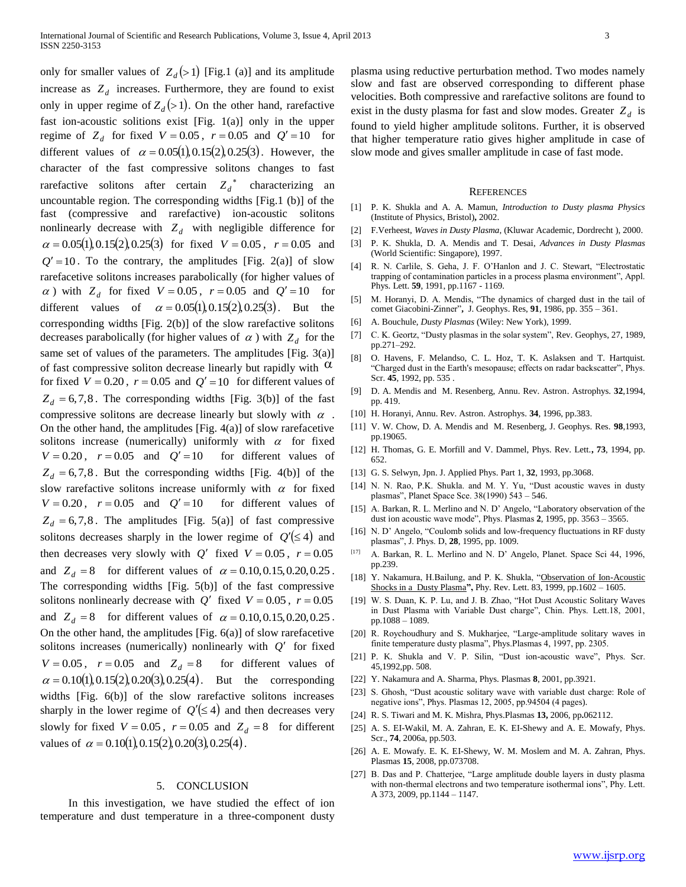only for smaller values of  $Z_d$ (>1) [Fig.1 (a)] and its amplitude increase as  $Z_d$  increases. Furthermore, they are found to exist only in upper regime of  $Z_d$  (> 1). On the other hand, rarefactive fast ion-acoustic solitions exist [Fig. 1(a)] only in the upper regime of  $Z_d$  for fixed  $V = 0.05$ ,  $r = 0.05$  and  $Q' = 10$  for different values of  $\alpha = 0.05(1), 0.15(2), 0.25(3)$ . However, the character of the fast compressive solitons changes to fast rarefactive solitons after certain  $Z_d^*$  characterizing an uncountable region. The corresponding widths [Fig.1 (b)] of the fast (compressive and rarefactive) ion-acoustic solitons nonlinearly decrease with  $Z_d$  with negligible difference for  $\alpha = 0.05(1), 0.15(2), 0.25(3)$  for fixed  $V = 0.05$ ,  $r = 0.05$  and  $Q' = 10$ . To the contrary, the amplitudes [Fig. 2(a)] of slow rarefacetive solitons increases parabolically (for higher values of  $\alpha$ ) with  $Z_d$  for fixed  $V = 0.05$ ,  $r = 0.05$  and  $Q' = 10$  for different values of  $\alpha = 0.05(1), 0.15(2), 0.25(3)$ . But the corresponding widths [Fig. 2(b)] of the slow rarefactive solitons decreases parabolically (for higher values of  $\alpha$ ) with  $Z_d$  for the same set of values of the parameters. The amplitudes [Fig. 3(a)] of fast compressive soliton decrease linearly but rapidly with  $\alpha$ for fixed  $V = 0.20$ ,  $r = 0.05$  and  $Q' = 10$  for different values of  $Z_d = 6,7,8$ . The corresponding widths [Fig. 3(b)] of the fast compressive solitons are decrease linearly but slowly with  $\alpha$ . On the other hand, the amplitudes [Fig. 4(a)] of slow rarefacetive solitons increase (numerically) uniformly with  $\alpha$  for fixed  $V = 0.20$ ,  $r = 0.05$  and  $Q'$ for different values of  $Z_d = 6,7,8$ . But the corresponding widths [Fig. 4(b)] of the slow rarefactive solitons increase uniformly with  $\alpha$  for fixed  $V = 0.20$ ,  $r = 0.05$  and  $Q'$ for different values of  $Z_d = 6,7,8$ . The amplitudes [Fig. 5(a)] of fast compressive solitons decreases sharply in the lower regime of  $Q'(\leq 4)$  and then decreases very slowly with  $Q'$  fixed  $V = 0.05$ ,  $r = 0.05$ and  $Z_d = 8$  for different values of  $\alpha = 0.10, 0.15, 0.20, 0.25$ . The corresponding widths [Fig. 5(b)] of the fast compressive solitons nonlinearly decrease with  $Q'$  fixed  $V = 0.05$ ,  $r = 0.05$ and  $Z_d = 8$  for different values of  $\alpha = 0.10, 0.15, 0.20, 0.25$ . On the other hand, the amplitudes [Fig. 6(a)] of slow rarefacetive solitons increases (numerically) nonlinearly with  $Q'$  for fixed  $V = 0.05$ ,  $r = 0.05$  and  $Z_d = 8$  for different values of  $\alpha = 0.10(1), 0.15(2), 0.20(3), 0.25(4)$ . But the corresponding widths [Fig. 6(b)] of the slow rarefactive solitons increases sharply in the lower regime of  $Q'(\leq 4)$  and then decreases very slowly for fixed  $V = 0.05$ ,  $r = 0.05$  and  $Z_d = 8$  for different values of  $\alpha = 0.10(1), 0.15(2), 0.20(3), 0.25(4)$ .

#### 5. CONCLUSION

 In this investigation, we have studied the effect of ion temperature and dust temperature in a three-component dusty plasma using reductive perturbation method. Two modes namely slow and fast are observed corresponding to different phase velocities. Both compressive and rarefactive solitons are found to exist in the dusty plasma for fast and slow modes. Greater  $Z_d$  is found to yield higher amplitude solitons. Further, it is observed that higher temperature ratio gives higher amplitude in case of slow mode and gives smaller amplitude in case of fast mode.

#### **REFERENCES**

- [1] P. K. Shukla and A. A. Mamun, *Introduction to Dusty plasma Physics* (Institute of Physics, Bristol)**,** 2002.
- [2] F.Verheest, *Waves in Dusty Plasma*, (Kluwar Academic, Dordrecht ), 2000.
- [3] P. K. Shukla, D. A. Mendis and T. Desai, *Advances in Dusty Plasmas*  (World Scientific: Singapore), 1997.
- [4] R. N. Carlile, S. Geha, J. F. O'Hanlon and J. C. Stewart, "Electrostatic trapping of contamination particles in a process plasma environment", Appl. Phys. Lett. **59**, 1991, pp.1167 - 1169.
- [5] M. Horanyi, D. A. Mendis, "The dynamics of charged dust in the tail of comet Giacobini-Zinner"**,** J. Geophys. Res, **91**, 1986, pp. 355 – 361.
- [6] A. Bouchule, *Dusty Plasmas* (Wiley: New York), 1999.
- [7] C. K. Geortz, "Dusty plasmas in the solar system", Rev. Geophys, 27, 1989, pp.271–292.
- [8] O. Havens, F. Melandso, C. L. Hoz, T. K. Aslaksen and T. Hartquist. "Charged dust in the Earth's mesopause; effects on radar backscatter", Phys. Scr. **45**, 1992, pp. 535 .
- [9] D. A. Mendis and M. Resenberg, Annu. Rev. Astron. Astrophys. **32**,1994, pp. 419.
- [10] H. Horanyi, Annu. Rev. Astron. Astrophys. **34**, 1996, pp.383.
- [11] V. W. Chow, D. A. Mendis and M. Resenberg, J. Geophys. Res. **98**,1993, pp.19065.
- [12] H. Thomas, G. E. Morfill and V. Dammel, Phys. Rev. Lett.**, 73**, 1994, pp. 652.
- [13] G. S. Selwyn, Jpn. J. Applied Phys. Part 1, **32**, 1993, pp.3068.
- [14] N. N. Rao, P.K. Shukla. and M. Y. Yu, "Dust acoustic waves in dusty plasmas", Planet Space Sce. 38(1990) 543 – 546.
- [15] A. Barkan, R. L. Merlino and N. D' Angelo, "Laboratory observation of the dust ion acoustic wave mode", Phys. Plasmas **2**, 1995, pp. 3563 – 3565.
- [16] N. D' Angelo, "Coulomb solids and low-frequency fluctuations in RF dusty plasmas", J. Phys. D, **28**, 1995, pp. 1009.
- [17] A. Barkan, R. L. Merlino and N. D' Angelo, Planet. Space Sci 44, 1996, pp.239.
- [18] Y. Nakamura, H.Bailung, and P. K. Shukla, "Observation of Ion-Acoustic [Shocks in a Dusty Plasma](http://prl.aps.org/abstract/PRL/v83/i8/p1602_1)**",** Phy. Rev. Lett. 83, 1999, pp.1602 – 1605.
- [19] W. S. Duan, K. P. Lu, and J. B. Zhao, "Hot Dust Acoustic Solitary Waves in Dust Plasma with Variable Dust charge", Chin. Phys. Lett.18, 2001, pp.1088 – 1089.
- [20] R. Roychoudhury and S. Mukharjee, "Large-amplitude solitary waves in finite temperature dusty plasma", Phys.Plasmas 4, 1997, pp. 2305.
- [21] P. K. Shukla and V. P. Silin, "Dust ion-acoustic wave", Phys. Scr. 45,1992,pp. 508.
- [22] Y. Nakamura and A. Sharma, Phys. Plasmas **8**, 2001, pp.3921.
- [23] S. Ghosh, "Dust acoustic solitary wave with variable dust charge: Role of negative ions", Phys. Plasmas 12, 2005, pp.94504 (4 pages).
- [24] R. S. Tiwari and M. K. Mishra, Phys.Plasmas **13,** 2006, pp**.**062112.
- [25] A. S. EI-Wakil, M. A. Zahran, E. K. EI-Shewy and A. E. Mowafy, Phys. Scr., **74**, 2006a, pp.503.
- [26] A. E. Mowafy. E. K. EI-Shewy, W. M. Moslem and M. A. Zahran, Phys. Plasmas **15**, 2008, pp.073708.
- [27] B. Das and P. Chatterjee, "Large amplitude double layers in dusty plasma with non-thermal electrons and two temperature isothermal ions", Phy. Lett. A 373, 2009, pp.1144 – 1147.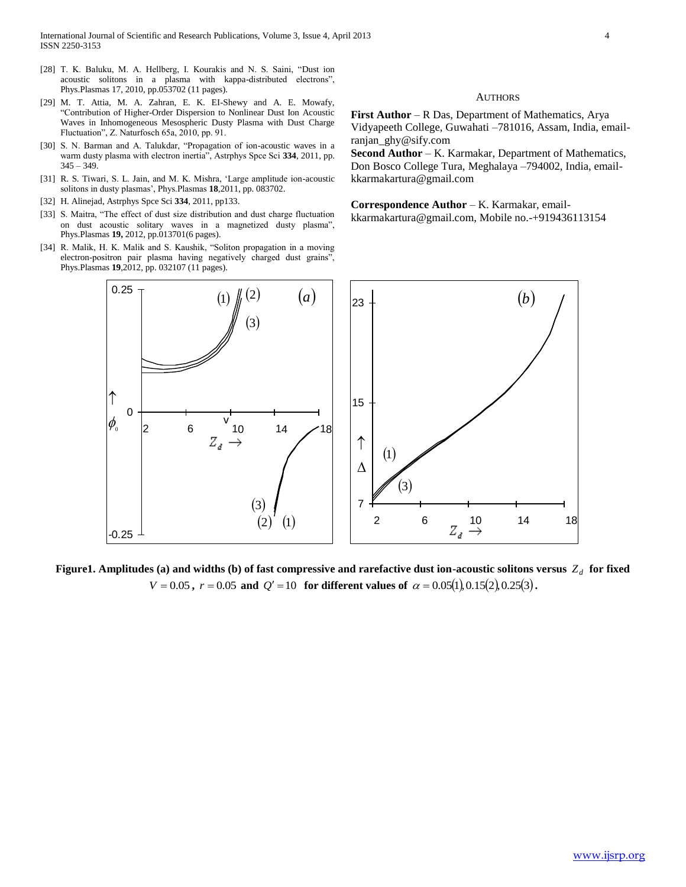- [28] T. K. Baluku, M. A. Hellberg, I. Kourakis and N. S. Saini, "Dust ion acoustic solitons in a plasma with kappa-distributed electrons", Phys.Plasmas 17, 2010, pp.053702 (11 pages).
- [29] M. T. Attia, M. A. Zahran, E. K. EI-Shewy and A. E. Mowafy, "Contribution of Higher-Order Dispersion to Nonlinear Dust Ion Acoustic Waves in Inhomogeneous Mesospheric Dusty Plasma with Dust Charge Fluctuation", Z. Naturfosch 65a, 2010, pp. 91.
- [30] S. N. Barman and A. Talukdar, "Propagation of ion-acoustic waves in a warm dusty plasma with electron inertia", Astrphys Spce Sci **334**, 2011, pp.  $345 - 349.$
- [31] R. S. Tiwari, S. L. Jain, and M. K. Mishra, 'Large amplitude ion-acoustic solitons in dusty plasmas', Phys.Plasmas **18**,2011, pp. 083702.
- [32] H. Alinejad, Astrphys Spce Sci **334**, 2011, pp133.
- [33] S. Maitra, "The effect of dust size distribution and dust charge fluctuation on dust acoustic solitary waves in a magnetized dusty plasma", Phys.Plasmas **19,** 2012, pp.013701(6 pages).
- [34] R. Malik, H. K. Malik and S. Kaushik, "Soliton propagation in a moving electron-positron pair plasma having negatively charged dust grains", Phys.Plasmas **19**,2012, pp. 032107 (11 pages).

#### **AUTHORS**

**First Author** – R Das, Department of Mathematics, Arya Vidyapeeth College, Guwahati –781016, Assam, India, emailranjan\_ghy@sify.com

**Second Author** – K. Karmakar, Department of Mathematics, Don Bosco College Tura, Meghalaya –794002, India, emailkkarmakartura@gmail.com

Correspondence Author - K. Karmakar, emailkkarmakartura@gmail.com, Mobile no.-+919436113154



Figure1. Amplitudes (a) and widths (b) of fast compressive and rarefactive dust ion-acoustic solitons versus  $Z_d$  for fixed  $V = 0.05$ ,  $r = 0.05$  and  $Q' = 10$  for different values of  $\alpha = 0.05(1), 0.15(2), 0.25(3)$ .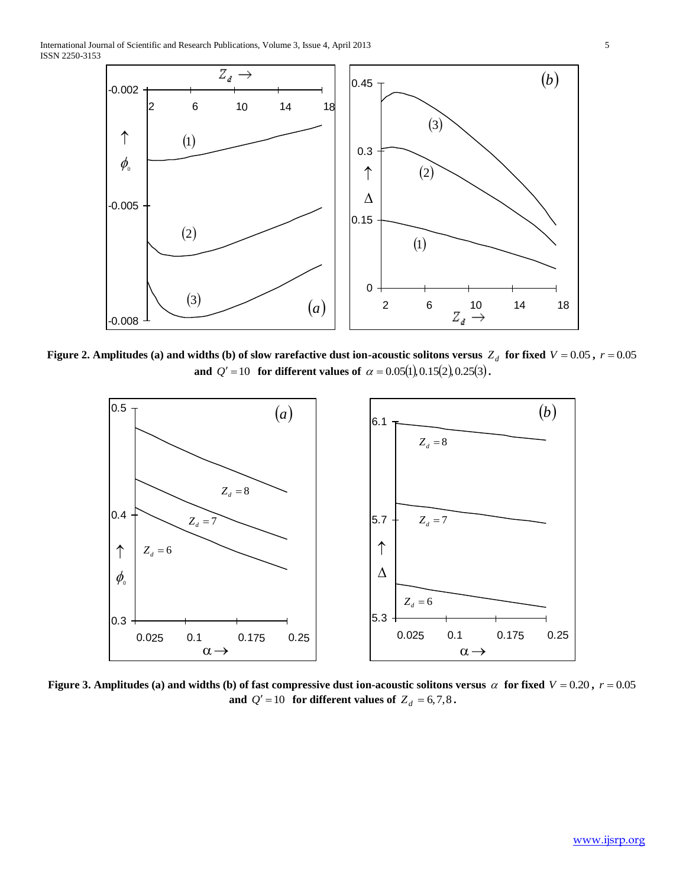International Journal of Scientific and Research Publications, Volume 3, Issue 4, April 2013 5 ISSN 2250-3153



Figure 2. Amplitudes (a) and widths (b) of slow rarefactive dust ion-acoustic solitons versus  $Z_d$  for fixed  $V = 0.05$  ,  $r = 0.05$ **and**  $Q' = 10$  for different values of  $\alpha = 0.05(1), 0.15(2), 0.25(3)$ .



Figure 3. Amplitudes (a) and widths (b) of fast compressive dust ion-acoustic solitons versus  $\alpha$  for fixed  $V = 0.20$ ,  $r = 0.05$ **and**  $Q' = 10$  for different values of  $Z_d = 6,7,8$ .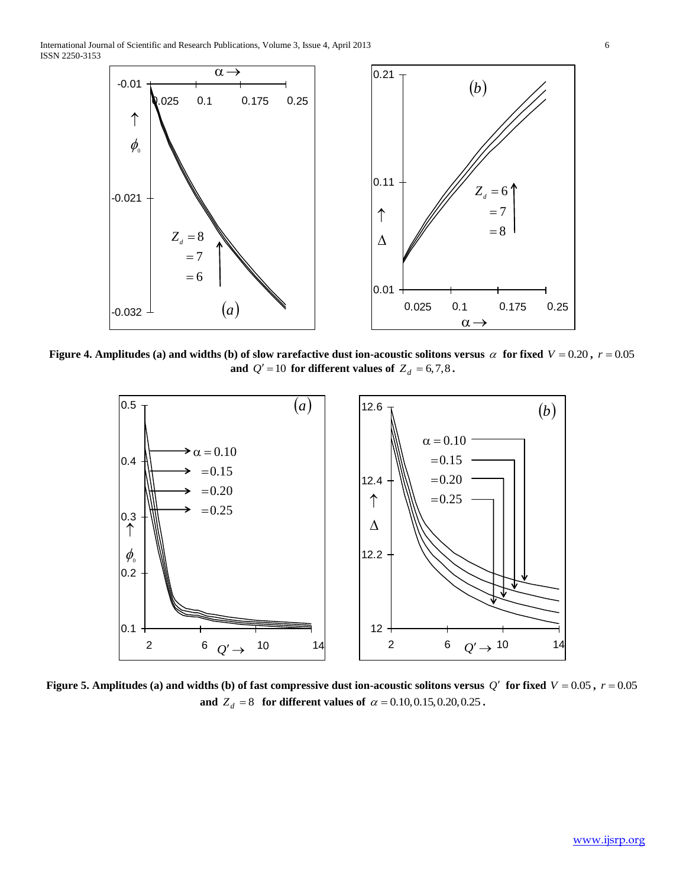International Journal of Scientific and Research Publications, Volume 3, Issue 4, April 2013 6 ISSN 2250-3153



Figure 4. Amplitudes (a) and widths (b) of slow rarefactive dust ion-acoustic solitons versus  $\alpha$  for fixed  $V = 0.20$ ,  $r = 0.05$ **and**  $Q' = 10$  for different values of  $Z_d = 6,7,8$ .



**Figure 5. Amplitudes (a) and widths (b) of fast compressive dust ion-acoustic solitons versus**  $Q'$  **for fixed**  $V = 0.05$ **,**  $r = 0.05$ **and**  $Z_d = 8$  for different values of  $\alpha = 0.10, 0.15, 0.20, 0.25$ .